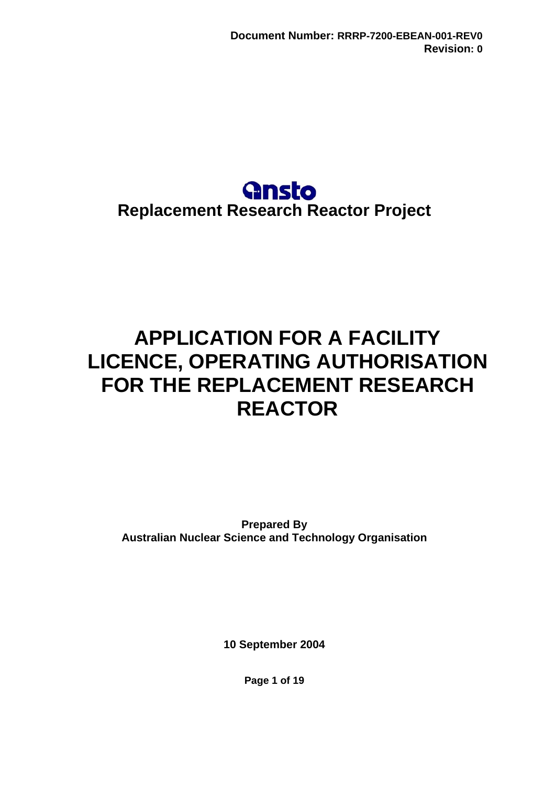# **Gnsto Replacement Research Reactor Project**

# <span id="page-0-0"></span>**APPLICATION FOR A FACILITY LICENCE, OPERATING AUTHORISATION FOR THE REPLACEMENT RESEARCH REACTOR**

**Prepared By Australian Nuclear Science and Technology Organisation** 

**10 September 2004** 

**Page 1 of 19**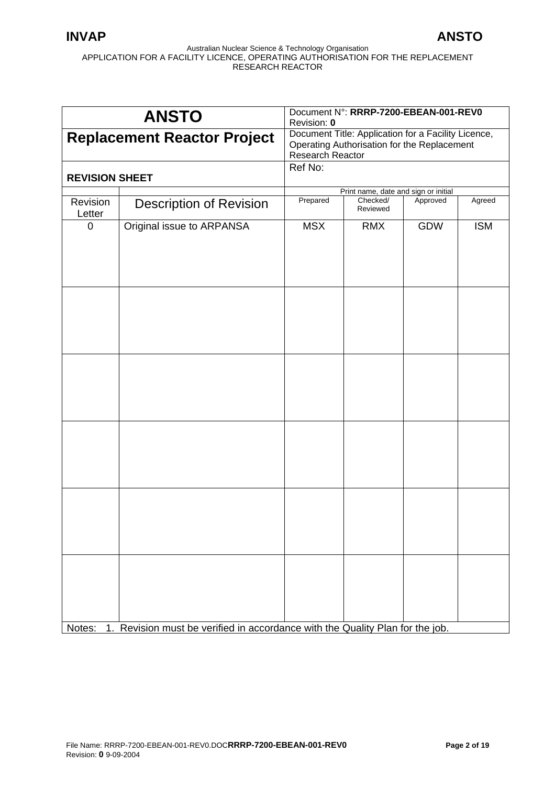| <b>ANSTO</b>                       |                                                                               | Document N°: RRRP-7200-EBEAN-001-REV0<br>Revision: 0                                                                   |                                      |            |            |
|------------------------------------|-------------------------------------------------------------------------------|------------------------------------------------------------------------------------------------------------------------|--------------------------------------|------------|------------|
| <b>Replacement Reactor Project</b> |                                                                               | Document Title: Application for a Facility Licence,<br>Operating Authorisation for the Replacement<br>Research Reactor |                                      |            |            |
| <b>REVISION SHEET</b>              |                                                                               | Ref No:                                                                                                                |                                      |            |            |
|                                    |                                                                               |                                                                                                                        | Print name, date and sign or initial |            |            |
| Revision<br>Letter                 | <b>Description of Revision</b>                                                | Prepared                                                                                                               | Checked/<br>Reviewed                 | Approved   | Agreed     |
| 0                                  | Original issue to ARPANSA                                                     | <b>MSX</b>                                                                                                             | <b>RMX</b>                           | <b>GDW</b> | <b>ISM</b> |
|                                    |                                                                               |                                                                                                                        |                                      |            |            |
|                                    |                                                                               |                                                                                                                        |                                      |            |            |
|                                    |                                                                               |                                                                                                                        |                                      |            |            |
|                                    |                                                                               |                                                                                                                        |                                      |            |            |
| Notes:                             | 1. Revision must be verified in accordance with the Quality Plan for the job. |                                                                                                                        |                                      |            |            |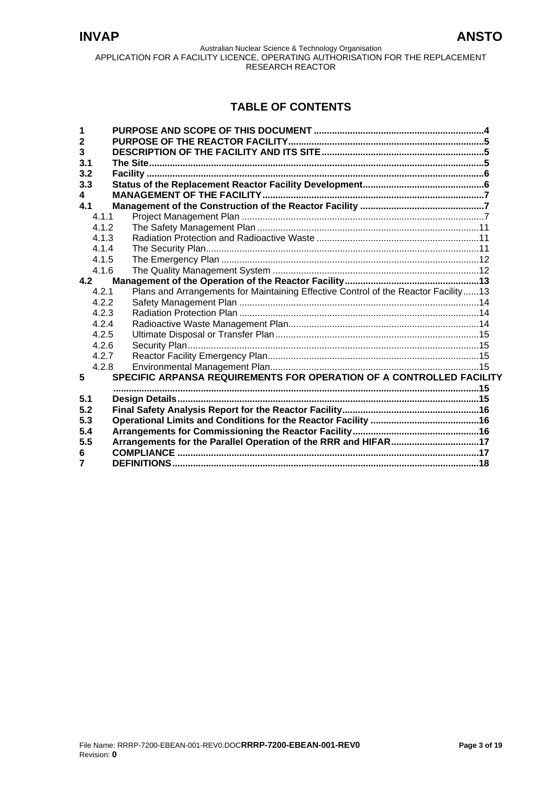# **TABLE OF CONTENTS**

| 1              |       |  |                                                                                    |  |
|----------------|-------|--|------------------------------------------------------------------------------------|--|
| $\overline{2}$ |       |  |                                                                                    |  |
| 3              |       |  |                                                                                    |  |
| 3.1            |       |  |                                                                                    |  |
| 3.2            |       |  |                                                                                    |  |
| 3.3            |       |  |                                                                                    |  |
| 4              |       |  |                                                                                    |  |
| 4.1            |       |  |                                                                                    |  |
|                | 4.1.1 |  |                                                                                    |  |
|                | 412   |  |                                                                                    |  |
|                | 4.1.3 |  |                                                                                    |  |
|                | 4.1.4 |  |                                                                                    |  |
|                | 4.1.5 |  |                                                                                    |  |
|                | 4.1.6 |  |                                                                                    |  |
| 4.2            |       |  |                                                                                    |  |
|                | 4.2.1 |  | Plans and Arrangements for Maintaining Effective Control of the Reactor Facility13 |  |
|                | 4.2.2 |  |                                                                                    |  |
|                | 4.2.3 |  |                                                                                    |  |
|                | 4.2.4 |  |                                                                                    |  |
|                | 4.2.5 |  |                                                                                    |  |
|                | 4.2.6 |  |                                                                                    |  |
|                | 4.2.7 |  |                                                                                    |  |
|                | 4.2.8 |  |                                                                                    |  |
| 5              |       |  | SPECIFIC ARPANSA REQUIREMENTS FOR OPERATION OF A CONTROLLED FACILITY               |  |
|                |       |  |                                                                                    |  |
| 5.1            |       |  |                                                                                    |  |
| 5.2            |       |  |                                                                                    |  |
| 5.3            |       |  |                                                                                    |  |
| 5.4            |       |  |                                                                                    |  |
| 5.5            |       |  | Arrangements for the Parallel Operation of the RRR and HIFAR17                     |  |
| 6              |       |  |                                                                                    |  |
| 7              |       |  |                                                                                    |  |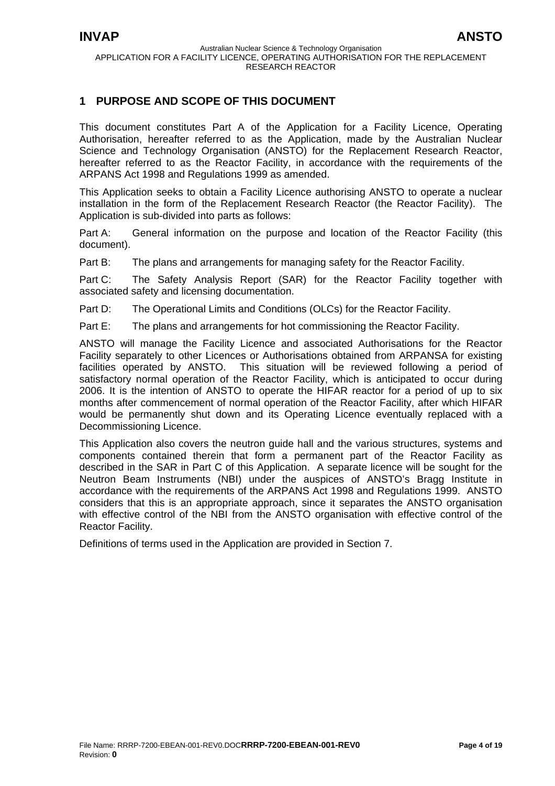# <span id="page-3-0"></span>**1 PURPOSE AND SCOPE OF THIS DOCUMENT**

This document constitutes Part A of the Application for a Facility Licence, Operating Authorisation, hereafter referred to as the Application, made by the Australian Nuclear Science and Technology Organisation (ANSTO) for the Replacement Research Reactor, hereafter referred to as the Reactor Facility, in accordance with the requirements of the ARPANS Act 1998 and Regulations 1999 as amended.

This Application seeks to obtain a Facility Licence authorising ANSTO to operate a nuclear installation in the form of the Replacement Research Reactor (the Reactor Facility). The Application is sub-divided into parts as follows:

Part A: General information on the purpose and location of the Reactor Facility (this document).

Part B: The plans and arrangements for managing safety for the Reactor Facility.

Part C: The Safety Analysis Report (SAR) for the Reactor Facility together with associated safety and licensing documentation.

Part D: The Operational Limits and Conditions (OLCs) for the Reactor Facility.

Part E: The plans and arrangements for hot commissioning the Reactor Facility.

ANSTO will manage the Facility Licence and associated Authorisations for the Reactor Facility separately to other Licences or Authorisations obtained from ARPANSA for existing facilities operated by ANSTO. This situation will be reviewed following a period of satisfactory normal operation of the Reactor Facility, which is anticipated to occur during 2006. It is the intention of ANSTO to operate the HIFAR reactor for a period of up to six months after commencement of normal operation of the Reactor Facility, after which HIFAR would be permanently shut down and its Operating Licence eventually replaced with a Decommissioning Licence.

This Application also covers the neutron guide hall and the various structures, systems and components contained therein that form a permanent part of the Reactor Facility as described in the SAR in Part C of this Application. A separate licence will be sought for the Neutron Beam Instruments (NBI) under the auspices of ANSTO's Bragg Institute in accordance with the requirements of the ARPANS Act 1998 and Regulations 1999. ANSTO considers that this is an appropriate approach, since it separates the ANSTO organisation with effective control of the NBI from the ANSTO organisation with effective control of the Reactor Facility.

Definitions of terms used in the Application are provided in Section 7.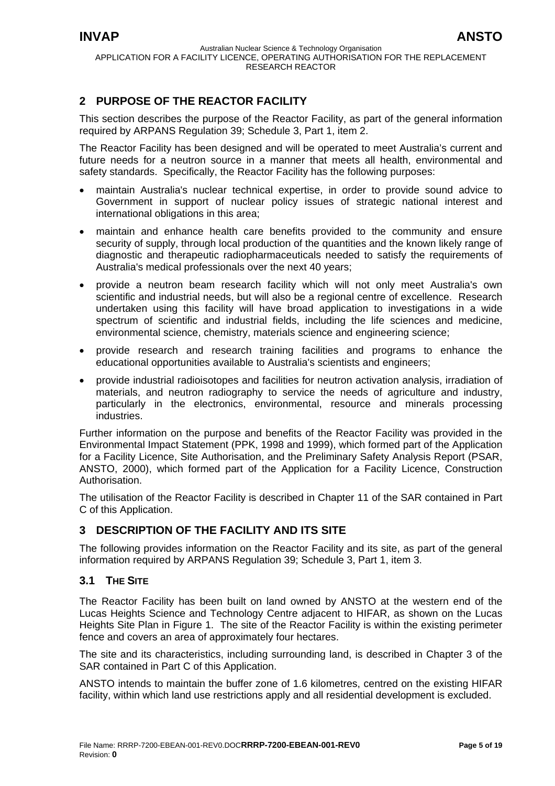# <span id="page-4-0"></span>**2 PURPOSE OF THE REACTOR FACILITY**

This section describes the purpose of the Reactor Facility, as part of the general information required by ARPANS Regulation 39; Schedule 3, Part 1, item 2.

The Reactor Facility has been designed and will be operated to meet Australia's current and future needs for a neutron source in a manner that meets all health, environmental and safety standards. Specifically, the Reactor Facility has the following purposes:

- maintain Australia's nuclear technical expertise, in order to provide sound advice to Government in support of nuclear policy issues of strategic national interest and international obligations in this area;
- maintain and enhance health care benefits provided to the community and ensure security of supply, through local production of the quantities and the known likely range of diagnostic and therapeutic radiopharmaceuticals needed to satisfy the requirements of Australia's medical professionals over the next 40 years;
- provide a neutron beam research facility which will not only meet Australia's own scientific and industrial needs, but will also be a regional centre of excellence. Research undertaken using this facility will have broad application to investigations in a wide spectrum of scientific and industrial fields, including the life sciences and medicine, environmental science, chemistry, materials science and engineering science;
- provide research and research training facilities and programs to enhance the educational opportunities available to Australia's scientists and engineers;
- provide industrial radioisotopes and facilities for neutron activation analysis, irradiation of materials, and neutron radiography to service the needs of agriculture and industry, particularly in the electronics, environmental, resource and minerals processing industries.

Further information on the purpose and benefits of the Reactor Facility was provided in the Environmental Impact Statement (PPK, 1998 and 1999), which formed part of the Application for a Facility Licence, Site Authorisation, and the Preliminary Safety Analysis Report (PSAR, ANSTO, 2000), which formed part of the Application for a Facility Licence, Construction Authorisation.

The utilisation of the Reactor Facility is described in Chapter 11 of the SAR contained in Part C of this Application.

# **3 DESCRIPTION OF THE FACILITY AND ITS SITE**

The following provides information on the Reactor Facility and its site, as part of the general information required by ARPANS Regulation 39; Schedule 3, Part 1, item 3.

# **3.1 THE SITE**

The Reactor Facility has been built on land owned by ANSTO at the western end of the Lucas Heights Science and Technology Centre adjacent to HIFAR, as shown on the Lucas Heights Site Plan in Figure 1. The site of the Reactor Facility is within the existing perimeter fence and covers an area of approximately four hectares.

The site and its characteristics, including surrounding land, is described in Chapter 3 of the SAR contained in Part C of this Application.

ANSTO intends to maintain the buffer zone of 1.6 kilometres, centred on the existing HIFAR facility, within which land use restrictions apply and all residential development is excluded.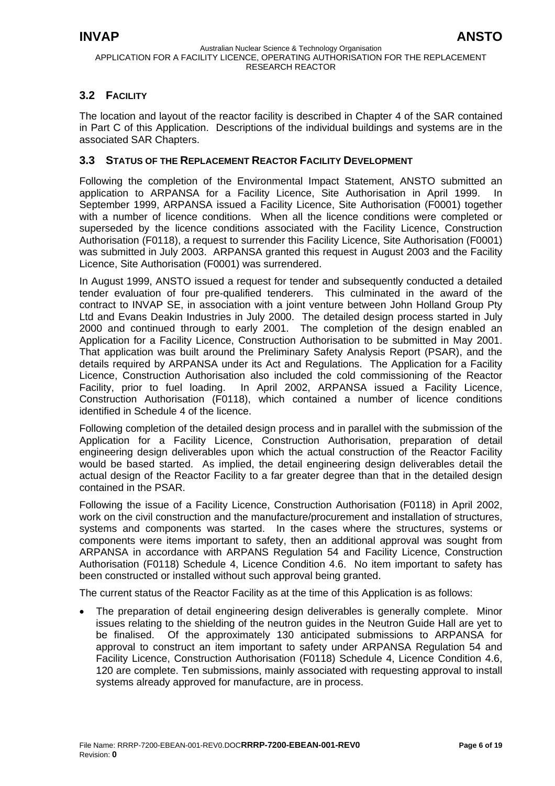# <span id="page-5-0"></span>**3.2 FACILITY**

The location and layout of the reactor facility is described in Chapter 4 of the SAR contained in Part C of this Application. Descriptions of the individual buildings and systems are in the associated SAR Chapters.

## **3.3 STATUS OF THE REPLACEMENT REACTOR FACILITY DEVELOPMENT**

Following the completion of the Environmental Impact Statement, ANSTO submitted an application to ARPANSA for a Facility Licence, Site Authorisation in April 1999. In September 1999, ARPANSA issued a Facility Licence, Site Authorisation (F0001) together with a number of licence conditions. When all the licence conditions were completed or superseded by the licence conditions associated with the Facility Licence, Construction Authorisation (F0118), a request to surrender this Facility Licence, Site Authorisation (F0001) was submitted in July 2003. ARPANSA granted this request in August 2003 and the Facility Licence, Site Authorisation (F0001) was surrendered.

In August 1999, ANSTO issued a request for tender and subsequently conducted a detailed tender evaluation of four pre-qualified tenderers. This culminated in the award of the contract to INVAP SE, in association with a joint venture between John Holland Group Pty Ltd and Evans Deakin Industries in July 2000. The detailed design process started in July 2000 and continued through to early 2001. The completion of the design enabled an Application for a Facility Licence, Construction Authorisation to be submitted in May 2001. That application was built around the Preliminary Safety Analysis Report (PSAR), and the details required by ARPANSA under its Act and Regulations. The Application for a Facility Licence, Construction Authorisation also included the cold commissioning of the Reactor Facility, prior to fuel loading. In April 2002, ARPANSA issued a Facility Licence, Construction Authorisation (F0118), which contained a number of licence conditions identified in Schedule 4 of the licence.

Following completion of the detailed design process and in parallel with the submission of the Application for a Facility Licence, Construction Authorisation, preparation of detail engineering design deliverables upon which the actual construction of the Reactor Facility would be based started. As implied, the detail engineering design deliverables detail the actual design of the Reactor Facility to a far greater degree than that in the detailed design contained in the PSAR.

Following the issue of a Facility Licence, Construction Authorisation (F0118) in April 2002, work on the civil construction and the manufacture/procurement and installation of structures, systems and components was started. In the cases where the structures, systems or components were items important to safety, then an additional approval was sought from ARPANSA in accordance with ARPANS Regulation 54 and Facility Licence, Construction Authorisation (F0118) Schedule 4, Licence Condition 4.6. No item important to safety has been constructed or installed without such approval being granted.

The current status of the Reactor Facility as at the time of this Application is as follows:

The preparation of detail engineering design deliverables is generally complete. Minor issues relating to the shielding of the neutron guides in the Neutron Guide Hall are yet to be finalised. Of the approximately 130 anticipated submissions to ARPANSA for approval to construct an item important to safety under ARPANSA Regulation 54 and Facility Licence, Construction Authorisation (F0118) Schedule 4, Licence Condition 4.6, 120 are complete. Ten submissions, mainly associated with requesting approval to install systems already approved for manufacture, are in process.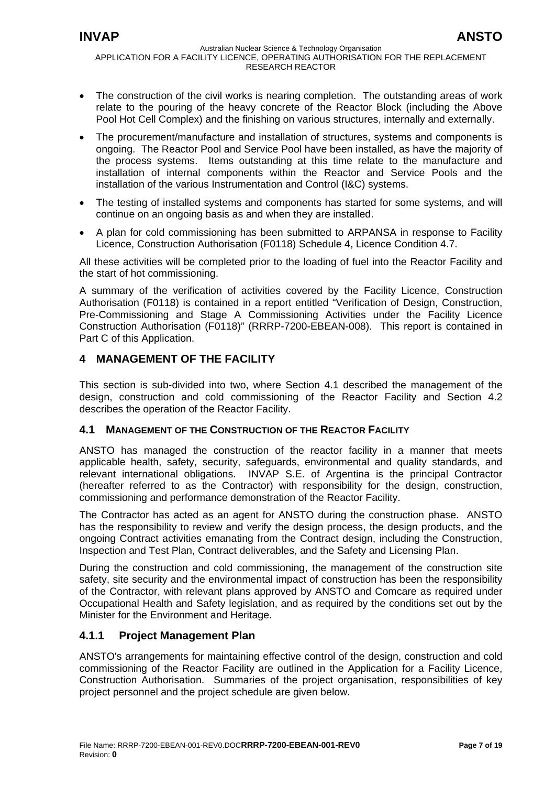- <span id="page-6-0"></span>• The construction of the civil works is nearing completion. The outstanding areas of work relate to the pouring of the heavy concrete of the Reactor Block (including the Above Pool Hot Cell Complex) and the finishing on various structures, internally and externally.
- The procurement/manufacture and installation of structures, systems and components is ongoing. The Reactor Pool and Service Pool have been installed, as have the majority of the process systems. Items outstanding at this time relate to the manufacture and installation of internal components within the Reactor and Service Pools and the installation of the various Instrumentation and Control (I&C) systems.
- The testing of installed systems and components has started for some systems, and will continue on an ongoing basis as and when they are installed.
- A plan for cold commissioning has been submitted to ARPANSA in response to Facility Licence, Construction Authorisation (F0118) Schedule 4, Licence Condition 4.7.

All these activities will be completed prior to the loading of fuel into the Reactor Facility and the start of hot commissioning.

A summary of the verification of activities covered by the Facility Licence, Construction Authorisation (F0118) is contained in a report entitled "Verification of Design, Construction, Pre-Commissioning and Stage A Commissioning Activities under the Facility Licence Construction Authorisation (F0118)" (RRRP-7200-EBEAN-008). This report is contained in Part C of this Application.

# **4 MANAGEMENT OF THE FACILITY**

This section is sub-divided into two, where Section 4.1 described the management of the design, construction and cold commissioning of the Reactor Facility and Section 4.2 describes the operation of the Reactor Facility.

## **4.1 MANAGEMENT OF THE CONSTRUCTION OF THE REACTOR FACILITY**

ANSTO has managed the construction of the reactor facility in a manner that meets applicable health, safety, security, safeguards, environmental and quality standards, and relevant international obligations. INVAP S.E. of Argentina is the principal Contractor (hereafter referred to as the Contractor) with responsibility for the design, construction, commissioning and performance demonstration of the Reactor Facility.

The Contractor has acted as an agent for ANSTO during the construction phase. ANSTO has the responsibility to review and verify the design process, the design products, and the ongoing Contract activities emanating from the Contract design, including the Construction, Inspection and Test Plan, Contract deliverables, and the Safety and Licensing Plan.

During the construction and cold commissioning, the management of the construction site safety, site security and the environmental impact of construction has been the responsibility of the Contractor, with relevant plans approved by ANSTO and Comcare as required under Occupational Health and Safety legislation, and as required by the conditions set out by the Minister for the Environment and Heritage.

# **4.1.1 Project Management Plan**

ANSTO's arrangements for maintaining effective control of the design, construction and cold commissioning of the Reactor Facility are outlined in the Application for a Facility Licence, Construction Authorisation. Summaries of the project organisation, responsibilities of key project personnel and the project schedule are given below.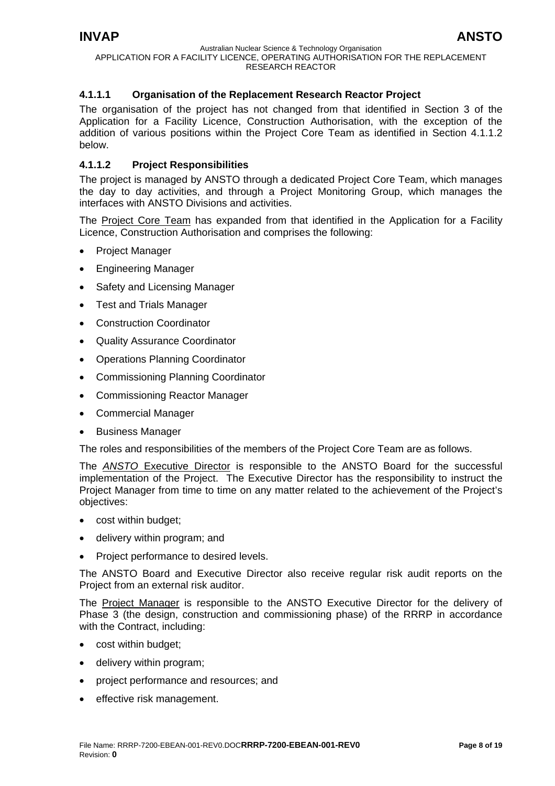## **4.1.1.1 Organisation of the Replacement Research Reactor Project**

The organisation of the project has not changed from that identified in Section 3 of the Application for a Facility Licence, Construction Authorisation, with the exception of the addition of various positions within the Project Core Team as identified in Section 4.1.1.2 below.

## **4.1.1.2 Project Responsibilities**

The project is managed by ANSTO through a dedicated Project Core Team, which manages the day to day activities, and through a Project Monitoring Group, which manages the interfaces with ANSTO Divisions and activities.

The Project Core Team has expanded from that identified in the Application for a Facility Licence, Construction Authorisation and comprises the following:

- Project Manager
- Engineering Manager
- Safety and Licensing Manager
- Test and Trials Manager
- Construction Coordinator
- Quality Assurance Coordinator
- Operations Planning Coordinator
- Commissioning Planning Coordinator
- Commissioning Reactor Manager
- Commercial Manager
- Business Manager

The roles and responsibilities of the members of the Project Core Team are as follows.

The *ANSTO* Executive Director is responsible to the ANSTO Board for the successful implementation of the Project. The Executive Director has the responsibility to instruct the Project Manager from time to time on any matter related to the achievement of the Project's objectives:

- cost within budget;
- delivery within program; and
- Project performance to desired levels.

The ANSTO Board and Executive Director also receive regular risk audit reports on the Project from an external risk auditor.

The Project Manager is responsible to the ANSTO Executive Director for the delivery of Phase 3 (the design, construction and commissioning phase) of the RRRP in accordance with the Contract, including:

- cost within budget;
- delivery within program;
- project performance and resources; and
- effective risk management.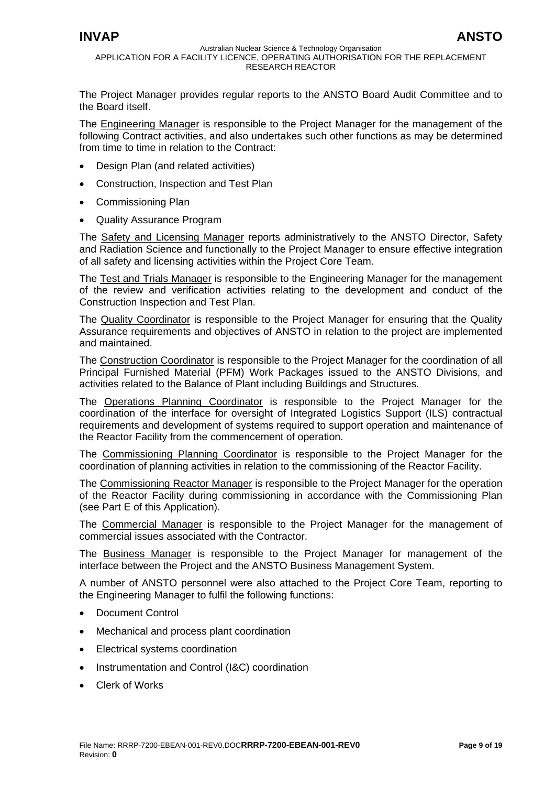The Project Manager provides regular reports to the ANSTO Board Audit Committee and to the Board itself.

The Engineering Manager is responsible to the Project Manager for the management of the following Contract activities, and also undertakes such other functions as may be determined from time to time in relation to the Contract:

- Design Plan (and related activities)
- Construction, Inspection and Test Plan
- Commissioning Plan
- Quality Assurance Program

The Safety and Licensing Manager reports administratively to the ANSTO Director, Safety and Radiation Science and functionally to the Project Manager to ensure effective integration of all safety and licensing activities within the Project Core Team.

The Test and Trials Manager is responsible to the Engineering Manager for the management of the review and verification activities relating to the development and conduct of the Construction Inspection and Test Plan.

The Quality Coordinator is responsible to the Project Manager for ensuring that the Quality Assurance requirements and objectives of ANSTO in relation to the project are implemented and maintained.

The Construction Coordinator is responsible to the Project Manager for the coordination of all Principal Furnished Material (PFM) Work Packages issued to the ANSTO Divisions, and activities related to the Balance of Plant including Buildings and Structures.

The Operations Planning Coordinator is responsible to the Project Manager for the coordination of the interface for oversight of Integrated Logistics Support (ILS) contractual requirements and development of systems required to support operation and maintenance of the Reactor Facility from the commencement of operation.

The Commissioning Planning Coordinator is responsible to the Project Manager for the coordination of planning activities in relation to the commissioning of the Reactor Facility.

The Commissioning Reactor Manager is responsible to the Project Manager for the operation of the Reactor Facility during commissioning in accordance with the Commissioning Plan (see Part E of this Application).

The Commercial Manager is responsible to the Project Manager for the management of commercial issues associated with the Contractor.

The Business Manager is responsible to the Project Manager for management of the interface between the Project and the ANSTO Business Management System.

A number of ANSTO personnel were also attached to the Project Core Team, reporting to the Engineering Manager to fulfil the following functions:

- Document Control
- Mechanical and process plant coordination
- Electrical systems coordination
- Instrumentation and Control (I&C) coordination
- Clerk of Works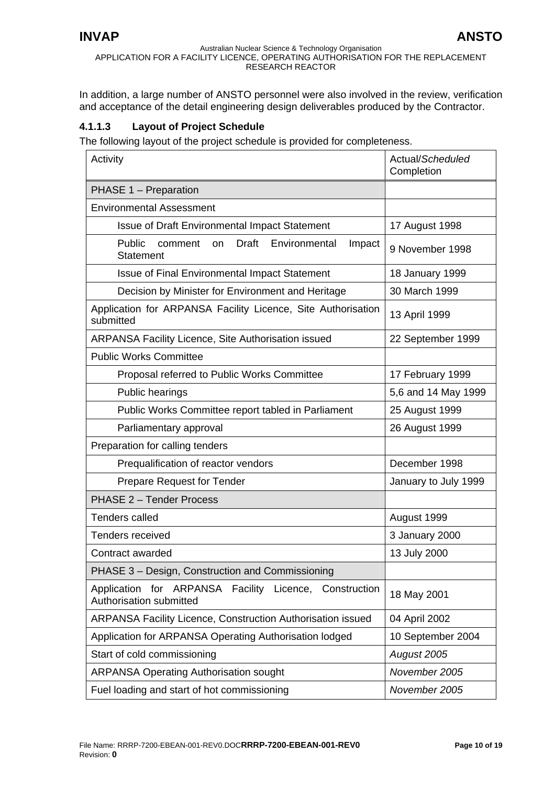In addition, a large number of ANSTO personnel were also involved in the review, verification and acceptance of the detail engineering design deliverables produced by the Contractor.

## **4.1.1.3 Layout of Project Schedule**

The following layout of the project schedule is provided for completeness.

| Activity                                                                          | Actual/Scheduled<br>Completion |  |
|-----------------------------------------------------------------------------------|--------------------------------|--|
| PHASE 1 - Preparation                                                             |                                |  |
| <b>Environmental Assessment</b>                                                   |                                |  |
| <b>Issue of Draft Environmental Impact Statement</b>                              | 17 August 1998                 |  |
| Draft<br>Public<br>Environmental<br>comment<br>on<br>Impact<br><b>Statement</b>   | 9 November 1998                |  |
| <b>Issue of Final Environmental Impact Statement</b>                              | 18 January 1999                |  |
| Decision by Minister for Environment and Heritage                                 | 30 March 1999                  |  |
| Application for ARPANSA Facility Licence, Site Authorisation<br>submitted         | 13 April 1999                  |  |
| <b>ARPANSA Facility Licence, Site Authorisation issued</b>                        | 22 September 1999              |  |
| <b>Public Works Committee</b>                                                     |                                |  |
| Proposal referred to Public Works Committee                                       | 17 February 1999               |  |
| Public hearings                                                                   | 5,6 and 14 May 1999            |  |
| Public Works Committee report tabled in Parliament                                | 25 August 1999                 |  |
| Parliamentary approval                                                            | 26 August 1999                 |  |
| Preparation for calling tenders                                                   |                                |  |
| Prequalification of reactor vendors                                               | December 1998                  |  |
| <b>Prepare Request for Tender</b>                                                 | January to July 1999           |  |
| PHASE 2 - Tender Process                                                          |                                |  |
| <b>Tenders called</b>                                                             | August 1999                    |  |
| Tenders received                                                                  | 3 January 2000                 |  |
| Contract awarded                                                                  | 13 July 2000                   |  |
| PHASE 3 - Design, Construction and Commissioning                                  |                                |  |
| Application for ARPANSA Facility Licence, Construction<br>Authorisation submitted | 18 May 2001                    |  |
| ARPANSA Facility Licence, Construction Authorisation issued                       | 04 April 2002                  |  |
| Application for ARPANSA Operating Authorisation lodged                            | 10 September 2004              |  |
| Start of cold commissioning                                                       | August 2005                    |  |
| <b>ARPANSA Operating Authorisation sought</b>                                     | November 2005                  |  |
| Fuel loading and start of hot commissioning                                       | November 2005                  |  |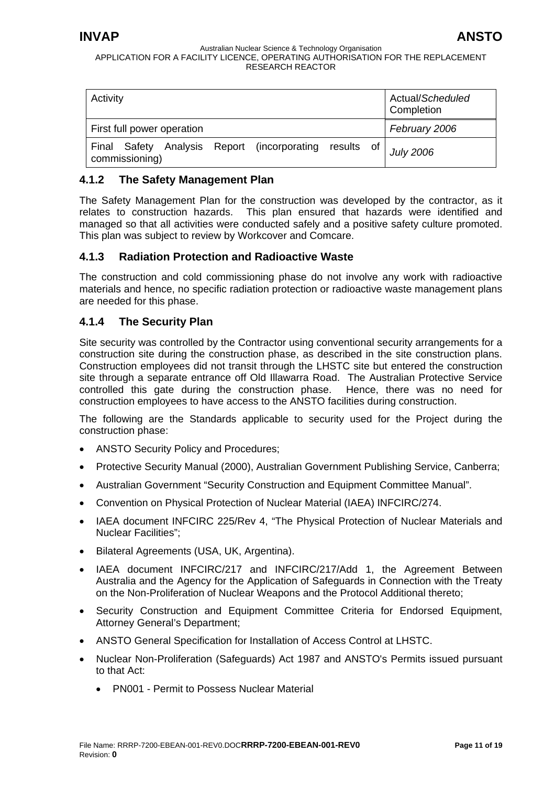<span id="page-10-0"></span>

| Activity                                                                       | Actual/Scheduled<br>Completion |
|--------------------------------------------------------------------------------|--------------------------------|
| First full power operation                                                     | February 2006                  |
| Analysis Report (incorporating<br>Final Safety<br>results of<br>commissioning) | <b>July 2006</b>               |

# **4.1.2 The Safety Management Plan**

The Safety Management Plan for the construction was developed by the contractor, as it relates to construction hazards. This plan ensured that hazards were identified and managed so that all activities were conducted safely and a positive safety culture promoted. This plan was subject to review by Workcover and Comcare.

# **4.1.3 Radiation Protection and Radioactive Waste**

The construction and cold commissioning phase do not involve any work with radioactive materials and hence, no specific radiation protection or radioactive waste management plans are needed for this phase.

# **4.1.4 The Security Plan**

Site security was controlled by the Contractor using conventional security arrangements for a construction site during the construction phase, as described in the site construction plans. Construction employees did not transit through the LHSTC site but entered the construction site through a separate entrance off Old Illawarra Road. The Australian Protective Service controlled this gate during the construction phase. Hence, there was no need for construction employees to have access to the ANSTO facilities during construction.

The following are the Standards applicable to security used for the Project during the construction phase:

- ANSTO Security Policy and Procedures;
- Protective Security Manual (2000), Australian Government Publishing Service, Canberra;
- Australian Government "Security Construction and Equipment Committee Manual".
- Convention on Physical Protection of Nuclear Material (IAEA) INFCIRC/274.
- IAEA document INFCIRC 225/Rev 4, "The Physical Protection of Nuclear Materials and Nuclear Facilities";
- Bilateral Agreements (USA, UK, Argentina).
- IAEA document INFCIRC/217 and INFCIRC/217/Add 1, the Agreement Between Australia and the Agency for the Application of Safeguards in Connection with the Treaty on the Non-Proliferation of Nuclear Weapons and the Protocol Additional thereto;
- Security Construction and Equipment Committee Criteria for Endorsed Equipment, Attorney General's Department;
- ANSTO General Specification for Installation of Access Control at LHSTC.
- Nuclear Non-Proliferation (Safeguards) Act 1987 and ANSTO's Permits issued pursuant to that Act:
	- PN001 Permit to Possess Nuclear Material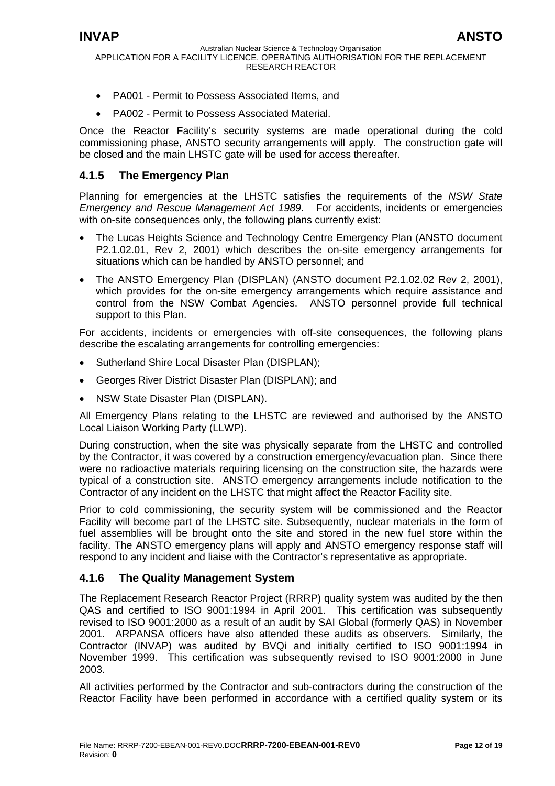<span id="page-11-0"></span>

- PA001 Permit to Possess Associated Items, and
- PA002 Permit to Possess Associated Material.

Once the Reactor Facility's security systems are made operational during the cold commissioning phase, ANSTO security arrangements will apply. The construction gate will be closed and the main LHSTC gate will be used for access thereafter.

## **4.1.5 The Emergency Plan**

Planning for emergencies at the LHSTC satisfies the requirements of the *NSW State Emergency and Rescue Management Act 1989*. For accidents, incidents or emergencies with on-site consequences only, the following plans currently exist:

- The Lucas Heights Science and Technology Centre Emergency Plan (ANSTO document P2.1.02.01, Rev 2, 2001) which describes the on-site emergency arrangements for situations which can be handled by ANSTO personnel; and
- The ANSTO Emergency Plan (DISPLAN) (ANSTO document P2.1.02.02 Rev 2, 2001), which provides for the on-site emergency arrangements which require assistance and control from the NSW Combat Agencies. ANSTO personnel provide full technical support to this Plan.

For accidents, incidents or emergencies with off-site consequences, the following plans describe the escalating arrangements for controlling emergencies:

- Sutherland Shire Local Disaster Plan (DISPLAN);
- Georges River District Disaster Plan (DISPLAN); and
- NSW State Disaster Plan (DISPLAN).

All Emergency Plans relating to the LHSTC are reviewed and authorised by the ANSTO Local Liaison Working Party (LLWP).

During construction, when the site was physically separate from the LHSTC and controlled by the Contractor, it was covered by a construction emergency/evacuation plan. Since there were no radioactive materials requiring licensing on the construction site, the hazards were typical of a construction site. ANSTO emergency arrangements include notification to the Contractor of any incident on the LHSTC that might affect the Reactor Facility site.

Prior to cold commissioning, the security system will be commissioned and the Reactor Facility will become part of the LHSTC site. Subsequently, nuclear materials in the form of fuel assemblies will be brought onto the site and stored in the new fuel store within the facility. The ANSTO emergency plans will apply and ANSTO emergency response staff will respond to any incident and liaise with the Contractor's representative as appropriate.

## **4.1.6 The Quality Management System**

The Replacement Research Reactor Project (RRRP) quality system was audited by the then QAS and certified to ISO 9001:1994 in April 2001. This certification was subsequently revised to ISO 9001:2000 as a result of an audit by SAI Global (formerly QAS) in November 2001. ARPANSA officers have also attended these audits as observers. Similarly, the Contractor (INVAP) was audited by BVQi and initially certified to ISO 9001:1994 in November 1999. This certification was subsequently revised to ISO 9001:2000 in June 2003.

All activities performed by the Contractor and sub-contractors during the construction of the Reactor Facility have been performed in accordance with a certified quality system or its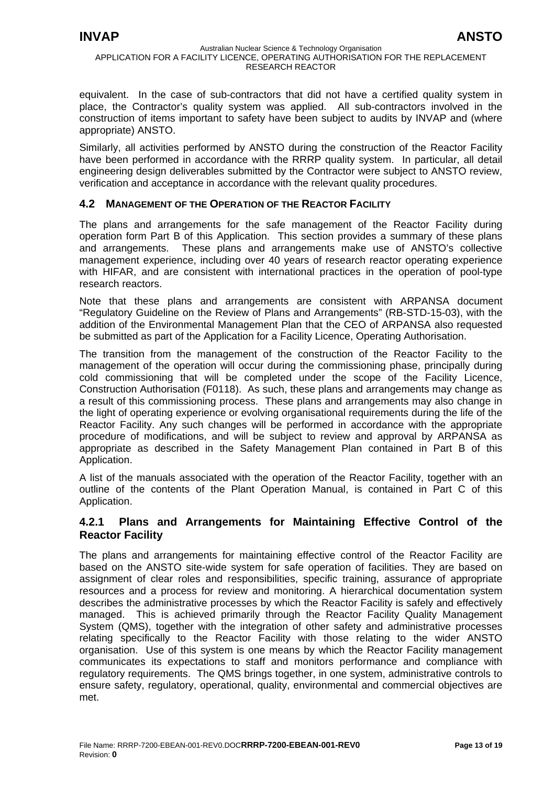<span id="page-12-0"></span>equivalent. In the case of sub-contractors that did not have a certified quality system in place, the Contractor's quality system was applied. All sub-contractors involved in the construction of items important to safety have been subject to audits by INVAP and (where appropriate) ANSTO.

Similarly, all activities performed by ANSTO during the construction of the Reactor Facility have been performed in accordance with the RRRP quality system. In particular, all detail engineering design deliverables submitted by the Contractor were subject to ANSTO review, verification and acceptance in accordance with the relevant quality procedures.

## **4.2 MANAGEMENT OF THE OPERATION OF THE REACTOR FACILITY**

The plans and arrangements for the safe management of the Reactor Facility during operation form Part B of this Application. This section provides a summary of these plans and arrangements. These plans and arrangements make use of ANSTO's collective management experience, including over 40 years of research reactor operating experience with HIFAR, and are consistent with international practices in the operation of pool-type research reactors.

Note that these plans and arrangements are consistent with ARPANSA document "Regulatory Guideline on the Review of Plans and Arrangements" (RB-STD-15-03), with the addition of the Environmental Management Plan that the CEO of ARPANSA also requested be submitted as part of the Application for a Facility Licence, Operating Authorisation.

The transition from the management of the construction of the Reactor Facility to the management of the operation will occur during the commissioning phase, principally during cold commissioning that will be completed under the scope of the Facility Licence, Construction Authorisation (F0118). As such, these plans and arrangements may change as a result of this commissioning process. These plans and arrangements may also change in the light of operating experience or evolving organisational requirements during the life of the Reactor Facility. Any such changes will be performed in accordance with the appropriate procedure of modifications, and will be subject to review and approval by ARPANSA as appropriate as described in the Safety Management Plan contained in Part B of this Application.

A list of the manuals associated with the operation of the Reactor Facility, together with an outline of the contents of the Plant Operation Manual, is contained in Part C of this Application.

## **4.2.1 Plans and Arrangements for Maintaining Effective Control of the Reactor Facility**

The plans and arrangements for maintaining effective control of the Reactor Facility are based on the ANSTO site-wide system for safe operation of facilities. They are based on assignment of clear roles and responsibilities, specific training, assurance of appropriate resources and a process for review and monitoring. A hierarchical documentation system describes the administrative processes by which the Reactor Facility is safely and effectively managed. This is achieved primarily through the Reactor Facility Quality Management System (QMS), together with the integration of other safety and administrative processes relating specifically to the Reactor Facility with those relating to the wider ANSTO organisation. Use of this system is one means by which the Reactor Facility management communicates its expectations to staff and monitors performance and compliance with regulatory requirements. The QMS brings together, in one system, administrative controls to ensure safety, regulatory, operational, quality, environmental and commercial objectives are met.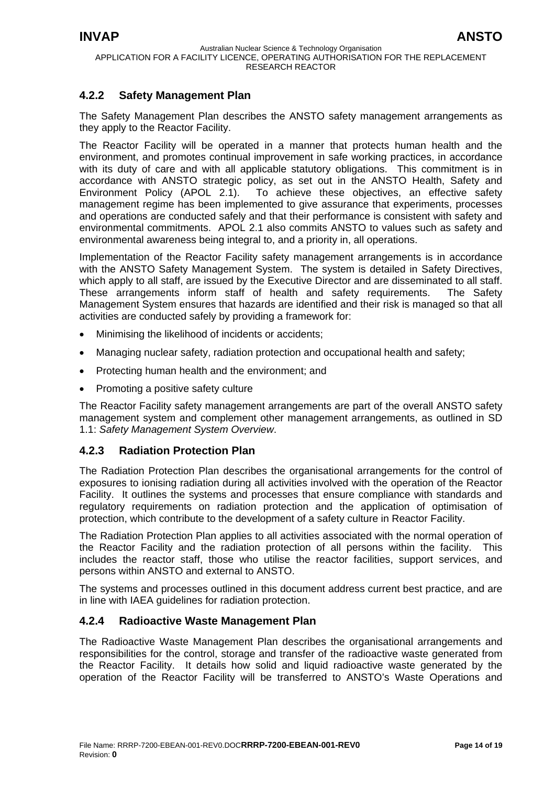# <span id="page-13-0"></span>**4.2.2 Safety Management Plan**

The Safety Management Plan describes the ANSTO safety management arrangements as they apply to the Reactor Facility.

The Reactor Facility will be operated in a manner that protects human health and the environment, and promotes continual improvement in safe working practices, in accordance with its duty of care and with all applicable statutory obligations. This commitment is in accordance with ANSTO strategic policy, as set out in the ANSTO Health, Safety and Environment Policy (APOL 2.1). To achieve these objectives, an effective safety management regime has been implemented to give assurance that experiments, processes and operations are conducted safely and that their performance is consistent with safety and environmental commitments. APOL 2.1 also commits ANSTO to values such as safety and environmental awareness being integral to, and a priority in, all operations.

Implementation of the Reactor Facility safety management arrangements is in accordance with the ANSTO Safety Management System. The system is detailed in Safety Directives, which apply to all staff, are issued by the Executive Director and are disseminated to all staff. These arrangements inform staff of health and safety requirements. The Safety Management System ensures that hazards are identified and their risk is managed so that all activities are conducted safely by providing a framework for:

- Minimising the likelihood of incidents or accidents;
- Managing nuclear safety, radiation protection and occupational health and safety;
- Protecting human health and the environment; and
- Promoting a positive safety culture

The Reactor Facility safety management arrangements are part of the overall ANSTO safety management system and complement other management arrangements, as outlined in SD 1.1: *Safety Management System Overview*.

# **4.2.3 Radiation Protection Plan**

The Radiation Protection Plan describes the organisational arrangements for the control of exposures to ionising radiation during all activities involved with the operation of the Reactor Facility. It outlines the systems and processes that ensure compliance with standards and regulatory requirements on radiation protection and the application of optimisation of protection, which contribute to the development of a safety culture in Reactor Facility.

The Radiation Protection Plan applies to all activities associated with the normal operation of the Reactor Facility and the radiation protection of all persons within the facility. This includes the reactor staff, those who utilise the reactor facilities, support services, and persons within ANSTO and external to ANSTO.

The systems and processes outlined in this document address current best practice, and are in line with IAEA guidelines for radiation protection.

## **4.2.4 Radioactive Waste Management Plan**

The Radioactive Waste Management Plan describes the organisational arrangements and responsibilities for the control, storage and transfer of the radioactive waste generated from the Reactor Facility. It details how solid and liquid radioactive waste generated by the operation of the Reactor Facility will be transferred to ANSTO's Waste Operations and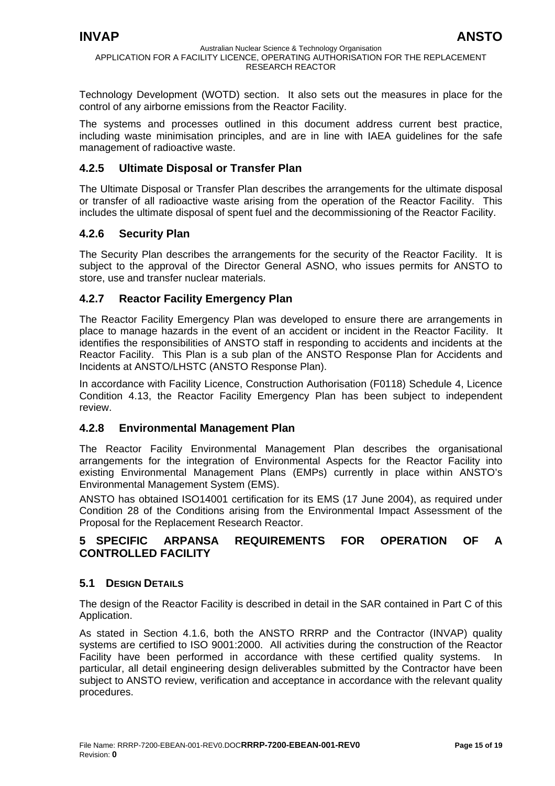<span id="page-14-0"></span>Technology Development (WOTD) section. It also sets out the measures in place for the control of any airborne emissions from the Reactor Facility.

The systems and processes outlined in this document address current best practice, including waste minimisation principles, and are in line with IAEA guidelines for the safe management of radioactive waste.

# **4.2.5 Ultimate Disposal or Transfer Plan**

The Ultimate Disposal or Transfer Plan describes the arrangements for the ultimate disposal or transfer of all radioactive waste arising from the operation of the Reactor Facility. This includes the ultimate disposal of spent fuel and the decommissioning of the Reactor Facility.

# **4.2.6 Security Plan**

The Security Plan describes the arrangements for the security of the Reactor Facility. It is subject to the approval of the Director General ASNO, who issues permits for ANSTO to store, use and transfer nuclear materials.

# **4.2.7 Reactor Facility Emergency Plan**

The Reactor Facility Emergency Plan was developed to ensure there are arrangements in place to manage hazards in the event of an accident or incident in the Reactor Facility. It identifies the responsibilities of ANSTO staff in responding to accidents and incidents at the Reactor Facility. This Plan is a sub plan of the ANSTO Response Plan for Accidents and Incidents at ANSTO/LHSTC (ANSTO Response Plan).

In accordance with Facility Licence, Construction Authorisation (F0118) Schedule 4, Licence Condition 4.13, the Reactor Facility Emergency Plan has been subject to independent review.

# **4.2.8 Environmental Management Plan**

The Reactor Facility Environmental Management Plan describes the organisational arrangements for the integration of Environmental Aspects for the Reactor Facility into existing Environmental Management Plans (EMPs) currently in place within ANSTO's Environmental Management System (EMS).

ANSTO has obtained ISO14001 certification for its EMS (17 June 2004), as required under Condition 28 of the Conditions arising from the Environmental Impact Assessment of the Proposal for the Replacement Research Reactor.

# **5 SPECIFIC ARPANSA REQUIREMENTS FOR OPERATION OF A CONTROLLED FACILITY**

# **5.1 DESIGN DETAILS**

The design of the Reactor Facility is described in detail in the SAR contained in Part C of this Application.

As stated in Section 4.1.6, both the ANSTO RRRP and the Contractor (INVAP) quality systems are certified to ISO 9001:2000. All activities during the construction of the Reactor Facility have been performed in accordance with these certified quality systems. In particular, all detail engineering design deliverables submitted by the Contractor have been subject to ANSTO review, verification and acceptance in accordance with the relevant quality procedures.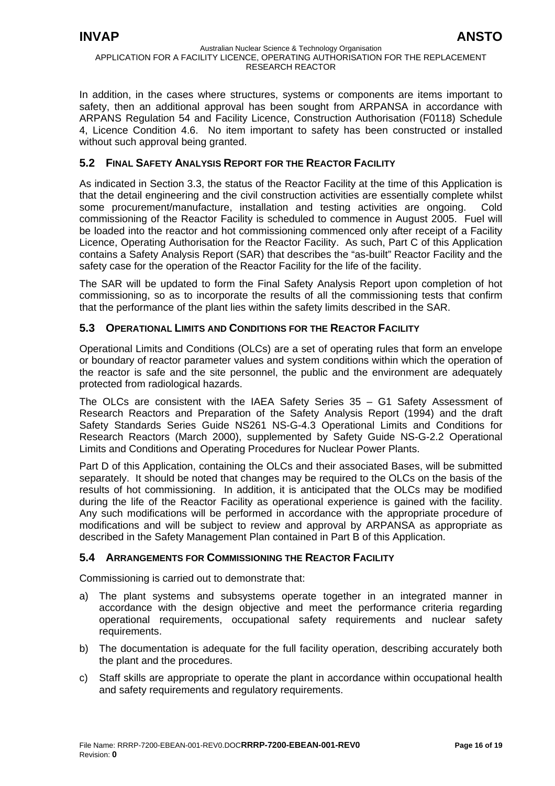<span id="page-15-0"></span>In addition, in the cases where structures, systems or components are items important to safety, then an additional approval has been sought from ARPANSA in accordance with ARPANS Regulation 54 and Facility Licence, Construction Authorisation (F0118) Schedule 4, Licence Condition 4.6. No item important to safety has been constructed or installed without such approval being granted.

# **5.2 FINAL SAFETY ANALYSIS REPORT FOR THE REACTOR FACILITY**

As indicated in Section 3.3, the status of the Reactor Facility at the time of this Application is that the detail engineering and the civil construction activities are essentially complete whilst some procurement/manufacture, installation and testing activities are ongoing. Cold commissioning of the Reactor Facility is scheduled to commence in August 2005. Fuel will be loaded into the reactor and hot commissioning commenced only after receipt of a Facility Licence, Operating Authorisation for the Reactor Facility. As such, Part C of this Application contains a Safety Analysis Report (SAR) that describes the "as-built" Reactor Facility and the safety case for the operation of the Reactor Facility for the life of the facility.

The SAR will be updated to form the Final Safety Analysis Report upon completion of hot commissioning, so as to incorporate the results of all the commissioning tests that confirm that the performance of the plant lies within the safety limits described in the SAR.

## **5.3 OPERATIONAL LIMITS AND CONDITIONS FOR THE REACTOR FACILITY**

Operational Limits and Conditions (OLCs) are a set of operating rules that form an envelope or boundary of reactor parameter values and system conditions within which the operation of the reactor is safe and the site personnel, the public and the environment are adequately protected from radiological hazards.

The OLCs are consistent with the IAEA Safety Series 35 – G1 Safety Assessment of Research Reactors and Preparation of the Safety Analysis Report (1994) and the draft Safety Standards Series Guide NS261 NS-G-4.3 Operational Limits and Conditions for Research Reactors (March 2000), supplemented by Safety Guide NS-G-2.2 Operational Limits and Conditions and Operating Procedures for Nuclear Power Plants.

Part D of this Application, containing the OLCs and their associated Bases, will be submitted separately. It should be noted that changes may be required to the OLCs on the basis of the results of hot commissioning. In addition, it is anticipated that the OLCs may be modified during the life of the Reactor Facility as operational experience is gained with the facility. Any such modifications will be performed in accordance with the appropriate procedure of modifications and will be subject to review and approval by ARPANSA as appropriate as described in the Safety Management Plan contained in Part B of this Application.

## **5.4 ARRANGEMENTS FOR COMMISSIONING THE REACTOR FACILITY**

Commissioning is carried out to demonstrate that:

- a) The plant systems and subsystems operate together in an integrated manner in accordance with the design objective and meet the performance criteria regarding operational requirements, occupational safety requirements and nuclear safety requirements.
- b) The documentation is adequate for the full facility operation, describing accurately both the plant and the procedures.
- c) Staff skills are appropriate to operate the plant in accordance within occupational health and safety requirements and regulatory requirements.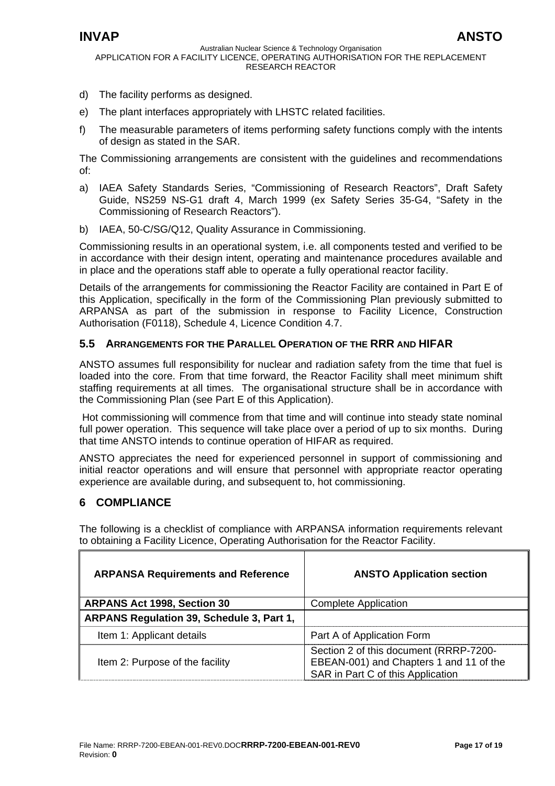- <span id="page-16-0"></span>d) The facility performs as designed.
- e) The plant interfaces appropriately with LHSTC related facilities.
- f) The measurable parameters of items performing safety functions comply with the intents of design as stated in the SAR.

The Commissioning arrangements are consistent with the guidelines and recommendations of:

- a) IAEA Safety Standards Series, "Commissioning of Research Reactors", Draft Safety Guide, NS259 NS-G1 draft 4, March 1999 (ex Safety Series 35-G4, "Safety in the Commissioning of Research Reactors").
- b) IAEA, 50-C/SG/Q12, Quality Assurance in Commissioning.

Commissioning results in an operational system, i.e. all components tested and verified to be in accordance with their design intent, operating and maintenance procedures available and in place and the operations staff able to operate a fully operational reactor facility.

Details of the arrangements for commissioning the Reactor Facility are contained in Part E of this Application, specifically in the form of the Commissioning Plan previously submitted to ARPANSA as part of the submission in response to Facility Licence, Construction Authorisation (F0118), Schedule 4, Licence Condition 4.7.

# **5.5 ARRANGEMENTS FOR THE PARALLEL OPERATION OF THE RRR AND HIFAR**

ANSTO assumes full responsibility for nuclear and radiation safety from the time that fuel is loaded into the core. From that time forward, the Reactor Facility shall meet minimum shift staffing requirements at all times. The organisational structure shall be in accordance with the Commissioning Plan (see Part E of this Application).

Hot commissioning will commence from that time and will continue into steady state nominal full power operation. This sequence will take place over a period of up to six months. During that time ANSTO intends to continue operation of HIFAR as required.

ANSTO appreciates the need for experienced personnel in support of commissioning and initial reactor operations and will ensure that personnel with appropriate reactor operating experience are available during, and subsequent to, hot commissioning.

# **6 COMPLIANCE**

The following is a checklist of compliance with ARPANSA information requirements relevant to obtaining a Facility Licence, Operating Authorisation for the Reactor Facility.

| <b>ARPANSA Requirements and Reference</b> | <b>ANSTO Application section</b>                                                                                       |
|-------------------------------------------|------------------------------------------------------------------------------------------------------------------------|
| <b>ARPANS Act 1998, Section 30</b>        | <b>Complete Application</b>                                                                                            |
| ARPANS Regulation 39, Schedule 3, Part 1, |                                                                                                                        |
| Item 1: Applicant details                 | Part A of Application Form                                                                                             |
| Item 2: Purpose of the facility           | Section 2 of this document (RRRP-7200-<br>EBEAN-001) and Chapters 1 and 11 of the<br>SAR in Part C of this Application |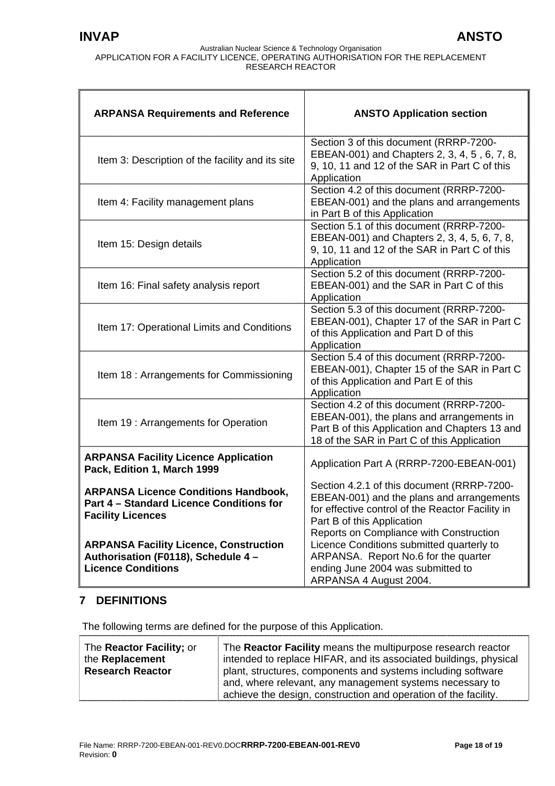<span id="page-17-0"></span>

| <b>ARPANSA Requirements and Reference</b>                                                                           | <b>ANSTO Application section</b>                                                                                                                                                                                     |
|---------------------------------------------------------------------------------------------------------------------|----------------------------------------------------------------------------------------------------------------------------------------------------------------------------------------------------------------------|
| Item 3: Description of the facility and its site                                                                    | Section 3 of this document (RRRP-7200-<br>EBEAN-001) and Chapters 2, 3, 4, 5, 6, 7, 8,<br>9, 10, 11 and 12 of the SAR in Part C of this<br>Application                                                               |
| Item 4: Facility management plans                                                                                   | Section 4.2 of this document (RRRP-7200-<br>EBEAN-001) and the plans and arrangements<br>in Part B of this Application                                                                                               |
| Item 15: Design details                                                                                             | Section 5.1 of this document (RRRP-7200-<br>EBEAN-001) and Chapters 2, 3, 4, 5, 6, 7, 8,<br>9, 10, 11 and 12 of the SAR in Part C of this<br>Application                                                             |
| Item 16: Final safety analysis report                                                                               | Section 5.2 of this document (RRRP-7200-<br>EBEAN-001) and the SAR in Part C of this<br>Application                                                                                                                  |
| Item 17: Operational Limits and Conditions                                                                          | Section 5.3 of this document (RRRP-7200-<br>EBEAN-001), Chapter 17 of the SAR in Part C<br>of this Application and Part D of this<br>Application                                                                     |
| Item 18 : Arrangements for Commissioning                                                                            | Section 5.4 of this document (RRRP-7200-<br>EBEAN-001), Chapter 15 of the SAR in Part C<br>of this Application and Part E of this<br>Application                                                                     |
| Item 19: Arrangements for Operation                                                                                 | Section 4.2 of this document (RRRP-7200-<br>EBEAN-001), the plans and arrangements in<br>Part B of this Application and Chapters 13 and<br>18 of the SAR in Part C of this Application                               |
| <b>ARPANSA Facility Licence Application</b><br>Pack, Edition 1, March 1999                                          | Application Part A (RRRP-7200-EBEAN-001)                                                                                                                                                                             |
| <b>ARPANSA Licence Conditions Handbook,</b><br>Part 4 - Standard Licence Conditions for<br><b>Facility Licences</b> | Section 4.2.1 of this document (RRRP-7200-<br>EBEAN-001) and the plans and arrangements<br>for effective control of the Reactor Facility in<br>Part B of this Application<br>Reports on Compliance with Construction |
| <b>ARPANSA Facility Licence, Construction</b><br>Authorisation (F0118), Schedule 4 -<br><b>Licence Conditions</b>   | Licence Conditions submitted quarterly to<br>ARPANSA. Report No.6 for the quarter<br>ending June 2004 was submitted to<br>ARPANSA 4 August 2004.                                                                     |

# **7 DEFINITIONS**

The following terms are defined for the purpose of this Application.

| The <b>Reactor Facility</b> ; or<br>the Replacement<br><b>Research Reactor</b> | The Reactor Facility means the multipurpose research reactor<br>intended to replace HIFAR, and its associated buildings, physical<br>plant, structures, components and systems including software<br>and, where relevant, any management systems necessary to<br>achieve the design, construction and operation of the facility. |
|--------------------------------------------------------------------------------|----------------------------------------------------------------------------------------------------------------------------------------------------------------------------------------------------------------------------------------------------------------------------------------------------------------------------------|
|--------------------------------------------------------------------------------|----------------------------------------------------------------------------------------------------------------------------------------------------------------------------------------------------------------------------------------------------------------------------------------------------------------------------------|